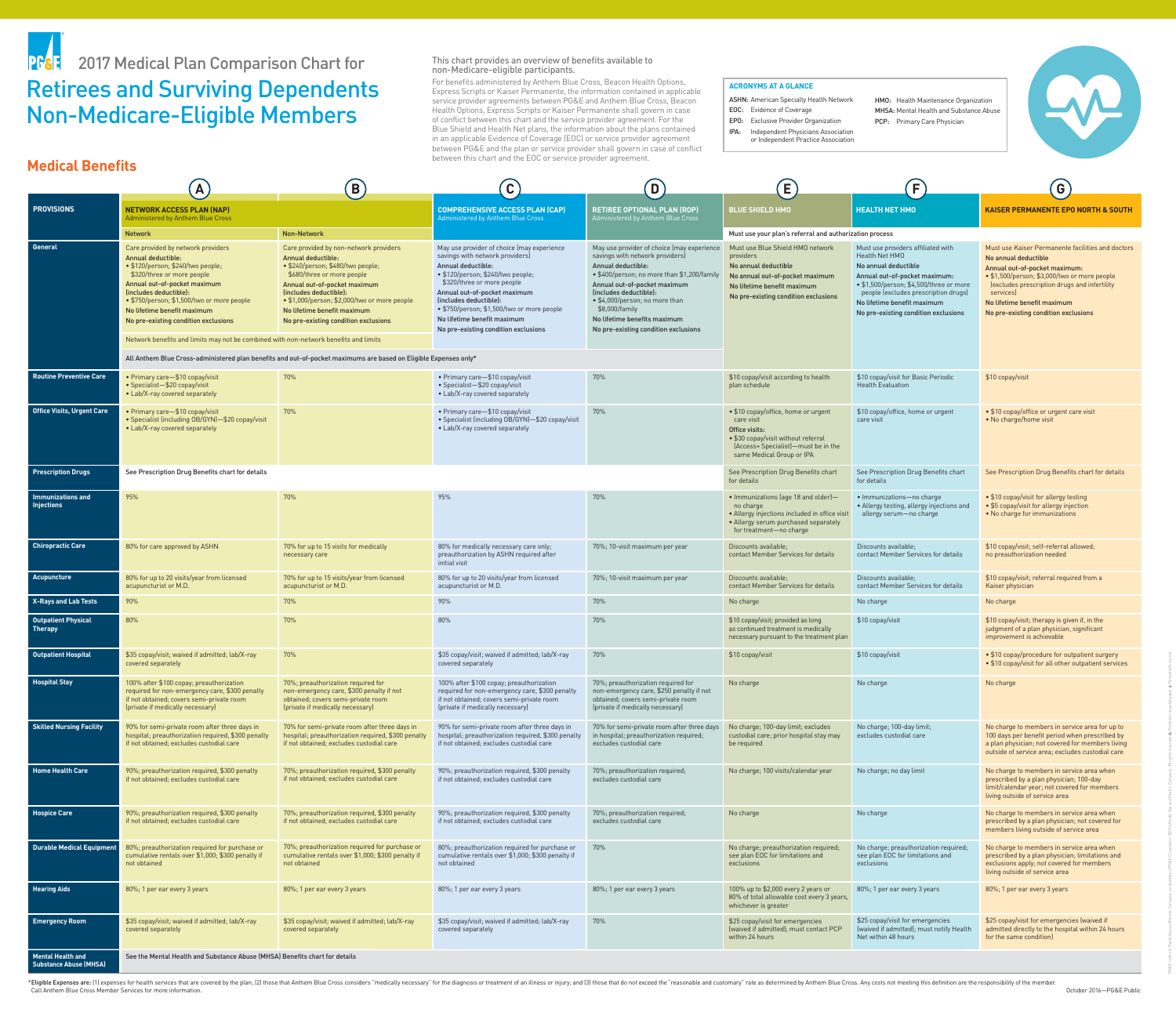This chart provides an overview of benefits available to non-Medicare-eligible participants. For benefits administered by Anthem Blue Cross, Beacon Health Options, Express Scripts or Kaiser Permanente, the information contained in applicable service provider agreements between PG&E and Anthem Blue Cross, Beacon Health Options, Express Scripts or Kaiser Permanente shall govern in case of conflict between this chart and the service provider agreement. For the Blue Shield and Health Net plans, the information about the plans contained in an applicable Evidence of Coverage (EOC) or service provider agreement between PG&E and the plan or service provider shall govern in case of conflict between this chart and the EOC or service provider agreement.

\*Eligible Expenses are: (1) expenses for health services that are covered by the plan; (2) those that Anthem Blue Cross considers "medically necessary" for the diagnosis or treatment of an illness or injury; and (3) those Call Anthem Blue Cross Member Services for more information.

|                                                           | $\mathbf{A}$                                                                                                                                                                                                                                                                                                                                                                                              | B)                                                                                                                                                                                                                                                                                                                      | $\mathbf{C}$                                                                                                                                                                                                                                                                                                                                                 | $\overline{D}$                                                                                                                                                                                                                                                                                                                           | E                                                                                                                                                                               | F                                                                                                                                                                                                                                                                       | G                                                                                                                                                                                                                                                                                              |
|-----------------------------------------------------------|-----------------------------------------------------------------------------------------------------------------------------------------------------------------------------------------------------------------------------------------------------------------------------------------------------------------------------------------------------------------------------------------------------------|-------------------------------------------------------------------------------------------------------------------------------------------------------------------------------------------------------------------------------------------------------------------------------------------------------------------------|--------------------------------------------------------------------------------------------------------------------------------------------------------------------------------------------------------------------------------------------------------------------------------------------------------------------------------------------------------------|------------------------------------------------------------------------------------------------------------------------------------------------------------------------------------------------------------------------------------------------------------------------------------------------------------------------------------------|---------------------------------------------------------------------------------------------------------------------------------------------------------------------------------|-------------------------------------------------------------------------------------------------------------------------------------------------------------------------------------------------------------------------------------------------------------------------|------------------------------------------------------------------------------------------------------------------------------------------------------------------------------------------------------------------------------------------------------------------------------------------------|
| <b>PROVISIONS</b>                                         | <b>NETWORK ACCESS PLAN (NAP)</b><br><b>Administered by Anthem Blue Cross</b>                                                                                                                                                                                                                                                                                                                              |                                                                                                                                                                                                                                                                                                                         | <b>COMPREHENSIVE ACCESS PLAN (CAP)</b><br><b>Administered by Anthem Blue Cross</b>                                                                                                                                                                                                                                                                           | <b>RETIREE OPTIONAL PLAN (ROP)</b><br>Administered by Anthem Blue Cross                                                                                                                                                                                                                                                                  | <b>BLUE SHIELD HMO</b>                                                                                                                                                          | <b>HEALTH NET HMO</b>                                                                                                                                                                                                                                                   | <b>KAISER PERMANENTE EPO NORTH &amp; SOUTH</b>                                                                                                                                                                                                                                                 |
|                                                           | <b>Non-Network</b><br><b>Network</b>                                                                                                                                                                                                                                                                                                                                                                      |                                                                                                                                                                                                                                                                                                                         |                                                                                                                                                                                                                                                                                                                                                              |                                                                                                                                                                                                                                                                                                                                          |                                                                                                                                                                                 | Must use your plan's referral and authorization process                                                                                                                                                                                                                 |                                                                                                                                                                                                                                                                                                |
| <b>General</b>                                            | Care provided by network providers<br><b>Annual deductible:</b><br>• \$120/person; \$240/two people;<br>\$320/three or more people<br>Annual out-of-pocket maximum<br>(includes deductible):<br>• \$750/person; \$1,500/two or more people<br>No lifetime benefit maximum<br>No pre-existing condition exclusions<br>Network benefits and limits may not be combined with non-network benefits and limits | Care provided by non-network providers<br><b>Annual deductible:</b><br>· \$240/person; \$480/two people;<br>\$680/three or more people<br>Annual out-of-pocket maximum<br>(includes deductible):<br>• \$1,000/person; \$2,000/two or more people<br>No lifetime benefit maximum<br>No pre-existing condition exclusions | May use provider of choice (may experience<br>savings with network providers)<br><b>Annual deductible:</b><br>• \$120/person; \$240/two people;<br>\$320/three or more people<br>Annual out-of-pocket maximum<br>(includes deductible):<br>• \$750/person; \$1,500/two or more people<br>No lifetime benefit maximum<br>No pre-existing condition exclusions | May use provider of choice (may experience<br>savings with network providers)<br>Annual deductible:<br>• \$400/person; no more than \$1,200/family<br>Annual out-of-pocket maximum<br>(includes deductible):<br>• \$4,000/person; no more than<br>\$8,000/family<br>No lifetime benefits maximum<br>No pre-existing condition exclusions | Must use Blue Shield HMO network<br>providers<br>No annual deductible<br>No annual out-of-pocket maximum<br>No lifetime benefit maximum<br>No pre-existing condition exclusions | Must use providers affiliated with<br>Health Net HMO<br>No annual deductible<br>Annual out-of-pocket maximum:<br>• \$1,500/person; \$4,500/three or more<br>people (excludes prescription drugs)<br>No lifetime benefit maximum<br>No pre-existing condition exclusions | Must use Kaiser Permanente facilities and doctors<br>No annual deductible<br>Annual out-of-pocket maximum:<br>• \$1,500/person; \$3,000/two or more people<br>(excludes prescription drugs and infertility<br>services)<br>No lifetime benefit maximum<br>No pre-existing condition exclusions |
|                                                           |                                                                                                                                                                                                                                                                                                                                                                                                           | All Anthem Blue Cross-administered plan benefits and out-of-pocket maximums are based on Eligible Expenses only*                                                                                                                                                                                                        |                                                                                                                                                                                                                                                                                                                                                              |                                                                                                                                                                                                                                                                                                                                          |                                                                                                                                                                                 |                                                                                                                                                                                                                                                                         |                                                                                                                                                                                                                                                                                                |
| <b>Routine Preventive Care</b>                            | • Primary care-\$10 copay/visit<br>• Specialist-\$20 copay/visit<br>• Lab/X-ray covered separately                                                                                                                                                                                                                                                                                                        | 70%                                                                                                                                                                                                                                                                                                                     | • Primary care-\$10 copay/visit<br>• Specialist-\$20 copay/visit<br>• Lab/X-ray covered separately                                                                                                                                                                                                                                                           | 70%                                                                                                                                                                                                                                                                                                                                      | \$10 copay/visit according to health<br>plan schedule                                                                                                                           | \$10 copay/visit for Basic Periodic<br><b>Health Evaluation</b>                                                                                                                                                                                                         | \$10 copay/visit                                                                                                                                                                                                                                                                               |
| <b>Office Visits, Urgent Care</b>                         | • Primary care-\$10 copay/visit<br>• Specialist (including OB/GYN)-\$20 copay/visit<br>• Lab/X-ray covered separately                                                                                                                                                                                                                                                                                     | 70%                                                                                                                                                                                                                                                                                                                     | • Primary care-\$10 copay/visit<br>• Specialist (including OB/GYN)-\$20 copay/visit<br>• Lab/X-ray covered separately                                                                                                                                                                                                                                        | 70%                                                                                                                                                                                                                                                                                                                                      | • \$10 copay/office, home or urgent<br>care visit<br>Office visits:<br>• \$30 copay/visit without referral<br>(Access+ Specialist)-must be in the<br>same Medical Group or IPA  | \$10 copay/office, home or urgent<br>care visit                                                                                                                                                                                                                         | • \$10 copay/office or urgent care visit<br>• No charge/home visit                                                                                                                                                                                                                             |
| <b>Prescription Drugs</b>                                 | See Prescription Drug Benefits chart for details                                                                                                                                                                                                                                                                                                                                                          |                                                                                                                                                                                                                                                                                                                         |                                                                                                                                                                                                                                                                                                                                                              |                                                                                                                                                                                                                                                                                                                                          | See Prescription Drug Benefits chart<br>for details                                                                                                                             | See Prescription Drug Benefits chart<br>for details                                                                                                                                                                                                                     | See Prescription Drug Benefits chart for details                                                                                                                                                                                                                                               |
| <b>Immunizations and</b><br><b>Injections</b>             | 95%                                                                                                                                                                                                                                                                                                                                                                                                       | 70%                                                                                                                                                                                                                                                                                                                     | 95%                                                                                                                                                                                                                                                                                                                                                          | 70%                                                                                                                                                                                                                                                                                                                                      | • Immunizations (age 18 and older)-<br>no charge<br>• Allergy injections included in office visit<br>• Allergy serum purchased separately<br>for treatment-no charge            | · Immunizations-no charge<br>• Allergy testing, allergy injections and<br>allergy serum-no charge                                                                                                                                                                       | • \$10 copay/visit for allergy testing<br>• \$5 copay/visit for allergy injection<br>• No charge for immunizations                                                                                                                                                                             |
| <b>Chiropractic Care</b>                                  | 80% for care approved by ASHN                                                                                                                                                                                                                                                                                                                                                                             | 70% for up to 15 visits for medically<br>necessary care                                                                                                                                                                                                                                                                 | 80% for medically necessary care only;<br>preauthorization by ASHN required after<br>initial visit                                                                                                                                                                                                                                                           | 70%; 10-visit maximum per year                                                                                                                                                                                                                                                                                                           | Discounts available;<br>contact Member Services for details                                                                                                                     | Discounts available;<br>contact Member Services for details                                                                                                                                                                                                             | \$10 copay/visit; self-referral allowed;<br>no preauthorization needed                                                                                                                                                                                                                         |
| Acupuncture                                               | 80% for up to 20 visits/year from licensed<br>acupuncturist or M.D.                                                                                                                                                                                                                                                                                                                                       | 70% for up to 15 visits/year from licensed<br>acupuncturist or M.D.                                                                                                                                                                                                                                                     | 80% for up to 20 visits/year from licensed<br>acupuncturist or M.D.                                                                                                                                                                                                                                                                                          | 70%; 10-visit maximum per year                                                                                                                                                                                                                                                                                                           | Discounts available;<br>contact Member Services for details                                                                                                                     | Discounts available;<br>contact Member Services for details                                                                                                                                                                                                             | \$10 copay/visit; referral required from a<br>Kaiser physician                                                                                                                                                                                                                                 |
| <b>X-Rays and Lab Tests</b>                               | 90%                                                                                                                                                                                                                                                                                                                                                                                                       | 70%                                                                                                                                                                                                                                                                                                                     | 90%                                                                                                                                                                                                                                                                                                                                                          | 70%                                                                                                                                                                                                                                                                                                                                      | No charge                                                                                                                                                                       | No charge                                                                                                                                                                                                                                                               | No charge                                                                                                                                                                                                                                                                                      |
| <b>Outpatient Physical</b><br><b>Therapy</b>              | 80%                                                                                                                                                                                                                                                                                                                                                                                                       | 70%                                                                                                                                                                                                                                                                                                                     | 80%                                                                                                                                                                                                                                                                                                                                                          | 70%                                                                                                                                                                                                                                                                                                                                      | \$10 copay/visit; provided as long<br>as continued treatment is medically<br>necessary pursuant to the treatment plan                                                           | \$10 copay/visit                                                                                                                                                                                                                                                        | \$10 copay/visit; therapy is given if, in the<br>judgment of a plan physician, significant<br>improvement is achievable                                                                                                                                                                        |
| <b>Outpatient Hospital</b>                                | \$35 copay/visit; waived if admitted; lab/X-ray<br>covered separately                                                                                                                                                                                                                                                                                                                                     | 70%                                                                                                                                                                                                                                                                                                                     | \$35 copay/visit; waived if admitted; lab/X-ray<br>covered separately                                                                                                                                                                                                                                                                                        | 70%                                                                                                                                                                                                                                                                                                                                      | \$10 copay/visit                                                                                                                                                                | \$10 copay/visit                                                                                                                                                                                                                                                        | • \$10 copay/procedure for outpatient surgery<br>• \$10 copay/visit for all other outpatient services                                                                                                                                                                                          |
| <b>Hospital Stay</b>                                      | 100% after \$100 copay; preauthorization<br>required for non-emergency care, \$300 penalty<br>if not obtained; covers semi-private room<br>(private if medically necessary)                                                                                                                                                                                                                               | 70%; preauthorization required for<br>non-emergency care, \$300 penalty if not<br>obtained; covers semi-private room<br>(private if medically necessary)                                                                                                                                                                | 100% after \$100 copay; preauthorization<br>required for non-emergency care, \$300 penalty<br>if not obtained; covers semi-private room<br>(private if medically necessary)                                                                                                                                                                                  | 70%; preauthorization required for<br>non-emergency care, \$250 penalty if not<br>obtained; covers semi-private room<br>(private if medically necessary)                                                                                                                                                                                 | No charge                                                                                                                                                                       | No charge                                                                                                                                                                                                                                                               | No charge                                                                                                                                                                                                                                                                                      |
| <b>Skilled Nursing Facility</b>                           | 90% for semi-private room after three days in<br>hospital; preauthorization required, \$300 penalty<br>if not obtained; excludes custodial care                                                                                                                                                                                                                                                           | 70% for semi-private room after three days in<br>hospital; preauthorization required, \$300 penalty<br>if not obtained; excludes custodial care                                                                                                                                                                         | 90% for semi-private room after three days in<br>hospital; preauthorization required, \$300 penalty<br>if not obtained; excludes custodial care                                                                                                                                                                                                              | 70% for semi-private room after three days<br>in hospital; preauthorization required;<br>excludes custodial care                                                                                                                                                                                                                         | No charge; 100-day limit; excludes<br>custodial care; prior hospital stay may<br>be required                                                                                    | No charge; 100-day limit;<br>excludes custodial care                                                                                                                                                                                                                    | No charge to members in service area for up to<br>100 days per benefit period when prescribed by<br>a plan physician; not covered for members living<br>outside of service area; excludes custodial care                                                                                       |
| <b>Home Health Care</b>                                   | 90%; preauthorization required, \$300 penalty<br>if not obtained; excludes custodial care                                                                                                                                                                                                                                                                                                                 | 70%; preauthorization required, \$300 penalty<br>if not obtained; excludes custodial care                                                                                                                                                                                                                               | 90%; preauthorization required, \$300 penalty<br>if not obtained; excludes custodial care                                                                                                                                                                                                                                                                    | 70%; preauthorization required;<br>excludes custodial care                                                                                                                                                                                                                                                                               | No charge; 100 visits/calendar year                                                                                                                                             | No charge; no day limit                                                                                                                                                                                                                                                 | No charge to members in service area when<br>prescribed by a plan physician; 100-day<br>limit/calendar year; not covered for members<br>living outside of service area                                                                                                                         |
| <b>Hospice Care</b>                                       | 90%; preauthorization required, \$300 penalty<br>if not obtained; excludes custodial care                                                                                                                                                                                                                                                                                                                 | 70%; preauthorization required, \$300 penalty<br>if not obtained; excludes custodial care                                                                                                                                                                                                                               | 90%; preauthorization required, \$300 penalty<br>if not obtained; excludes custodial care                                                                                                                                                                                                                                                                    | 70%; preauthorization required;<br>excludes custodial care                                                                                                                                                                                                                                                                               | No charge                                                                                                                                                                       | No charge                                                                                                                                                                                                                                                               | No charge to members in service area when<br>prescribed by a plan physician; not covered for<br>members living outside of service area                                                                                                                                                         |
| <b>Durable Medical Equipment</b>                          | 80%; preauthorization required for purchase or<br>cumulative rentals over \$1,000; \$300 penalty if<br>not obtained                                                                                                                                                                                                                                                                                       | 70%; preauthorization required for purchase or<br>cumulative rentals over \$1,000; \$300 penalty if<br>not obtained                                                                                                                                                                                                     | 80%; preauthorization required for purchase or<br>cumulative rentals over \$1,000; \$300 penalty if<br>not obtained                                                                                                                                                                                                                                          | 70%                                                                                                                                                                                                                                                                                                                                      | No charge; preauthorization required;<br>see plan EOC for limitations and<br>exclusions                                                                                         | No charge; preauthorization required;<br>see plan EOC for limitations and<br>exclusions                                                                                                                                                                                 | No charge to members in service area when<br>prescribed by a plan physician; limitations and<br>exclusions apply; not covered for members<br>living outside of service area                                                                                                                    |
| <b>Hearing Aids</b>                                       | 80%; 1 per ear every 3 years                                                                                                                                                                                                                                                                                                                                                                              | 80%; 1 per ear every 3 years                                                                                                                                                                                                                                                                                            | 80%; 1 per ear every 3 years                                                                                                                                                                                                                                                                                                                                 | 80%; 1 per ear every 3 years                                                                                                                                                                                                                                                                                                             | 100% up to \$2,000 every 2 years or<br>80% of total allowable cost every 3 years,<br>whichever is greater                                                                       | 80%; 1 per ear every 3 years                                                                                                                                                                                                                                            | 80%; 1 per ear every 3 years                                                                                                                                                                                                                                                                   |
| <b>Emergency Room</b>                                     | \$35 copay/visit; waived if admitted; lab/X-ray<br>covered separately                                                                                                                                                                                                                                                                                                                                     | \$35 copay/visit; waived if admitted; lab/X-ray<br>covered separately                                                                                                                                                                                                                                                   | \$35 copay/visit; waived if admitted; lab/X-ray<br>covered separately                                                                                                                                                                                                                                                                                        | 70%                                                                                                                                                                                                                                                                                                                                      | \$25 copay/visit for emergencies<br>(waived if admitted); must contact PCP<br>within 24 hours                                                                                   | \$25 copay/visit for emergencies<br>(waived if admitted); must notify Health<br>Net within 48 hours                                                                                                                                                                     | \$25 copay/visit for emergencies (waived if<br>admitted directly to the hospital within 24 hours<br>for the same condition)                                                                                                                                                                    |
| <b>Mental Health and</b><br><b>Substance Abuse (MHSA)</b> | See the Mental Health and Substance Abuse (MHSA) Benefits chart for details                                                                                                                                                                                                                                                                                                                               |                                                                                                                                                                                                                                                                                                                         |                                                                                                                                                                                                                                                                                                                                                              |                                                                                                                                                                                                                                                                                                                                          |                                                                                                                                                                                 |                                                                                                                                                                                                                                                                         |                                                                                                                                                                                                                                                                                                |

"PG&E" refers to Pacific Gas and Electric Company, a subsidiary of PG&E Corporation. ©2016 Pacific Gas and Electric Company. All rights reserved. Printed on recycled paper. Printed with soy ink.

### **ACRONYMS AT A GLANCE**

ASHN: American Specialty Health Network

EOC: Evidence of Coverage

EPO: Exclusive Provider Organization

- IPA: Independent Physicians Association
- or Independent Practice Association

HMO: Health Maintenance Organization MHSA: Mental Health and Substance Abuse PCP: Primary Care Physician





# Retirees and Surviving Dependents Non-Medicare-Eligible Members PF&E 2017 Medical Plan Comparison Chart for

## **Medical Benefits**